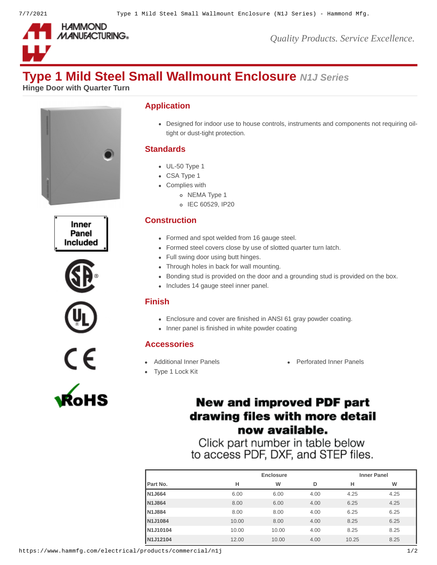

*Quality Products. Service Excellence.*

# **Type 1 Mild Steel Small Wallmount Enclosure** *N1J Series*

**Hinge Door with Quarter Turn**













#### **Application**

Designed for indoor use to house controls, instruments and components not requiring oiltight or dust-tight protection.

## **Standards**

- UL-50 Type 1
- CSA Type 1
- Complies with
	- o NEMA Type 1
	- o IEC 60529, IP20

## **Construction**

- Formed and spot welded from 16 gauge steel.
- Formed steel covers close by use of slotted quarter turn latch.
- Full swing door using butt hinges.
- Through holes in back for wall mounting.
- Bonding stud is provided on the door and a grounding stud is provided on the box.
- Includes 14 gauge steel inner panel.

#### **Finish**

- Enclosure and cover are finished in ANSI 61 gray powder coating.
- Inner panel is finished in white powder coating

#### **Accessories**

- 
- [Type 1 Lock Kit](https://www.hammfg.com/electrical/products/accessories/lkn1?referer=268&itm_type=accessory)
- [Additional Inner Panels](https://www.hammfg.com/electrical/products/accessories/n1jp?referer=268&itm_type=accessory) **Additional Inner Panels** [Perforated Inner Panels](https://www.hammfg.com/electrical/products/accessories/n1jpp?referer=268&itm_type=accessory)

# **New and improved PDF part** drawing files with more detail now available.

Click part number in table below to access PDF, DXF, and STEP files.

|       | <b>Enclosure</b> |      |       | <b>Inner Panel</b> |  |  |
|-------|------------------|------|-------|--------------------|--|--|
| н     | W                | D    | н     | W                  |  |  |
| 6.00  | 6.00             | 4.00 | 4.25  | 4.25               |  |  |
| 8.00  | 6.00             | 4.00 | 6.25  | 4.25               |  |  |
| 8.00  | 8.00             | 4.00 | 6.25  | 6.25               |  |  |
| 10.00 | 8.00             | 4.00 | 8.25  | 6.25               |  |  |
| 10.00 | 10.00            | 4.00 | 8.25  | 8.25               |  |  |
| 12.00 | 10.00            | 4.00 | 10.25 | 8.25               |  |  |
|       |                  |      |       |                    |  |  |